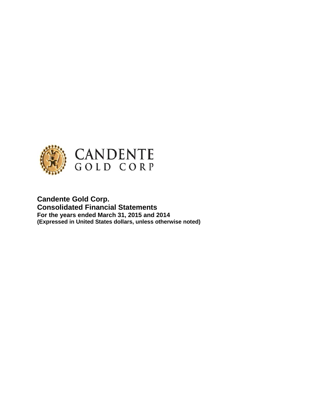

**Candente Gold Corp. Consolidated Financial Statements For the years ended March 31, 2015 and 2014 (Expressed in United States dollars, unless otherwise noted)**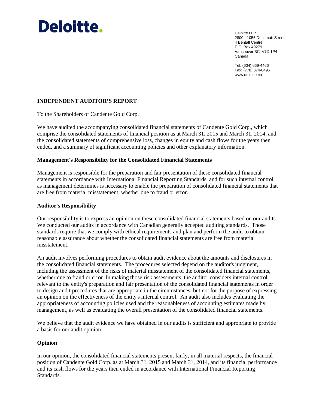

Deloitte LLP 2800 - 1055 Dunsmuir Street 4 Bentall Centre P.O. Box 49279 Vancouver BC V7X 1P4 Canada

Tel: (604) 669-4466 Fax: (778) 374-0496 www.deloitte.ca

## **INDEPENDENT AUDITOR'S REPORT**

To the Shareholders of Candente Gold Corp.

We have audited the accompanying consolidated financial statements of Candente Gold Corp., which comprise the consolidated statements of financial position as at March 31, 2015 and March 31, 2014, and the consolidated statements of comprehensive loss, changes in equity and cash flows for the years then ended, and a summary of significant accounting policies and other explanatory information.

### **Management's Responsibility for the Consolidated Financial Statements**

Management is responsible for the preparation and fair presentation of these consolidated financial statements in accordance with International Financial Reporting Standards, and for such internal control as management determines is necessary to enable the preparation of consolidated financial statements that are free from material misstatement, whether due to fraud or error.

### **Auditor's Responsibility**

Our responsibility is to express an opinion on these consolidated financial statements based on our audits. We conducted our audits in accordance with Canadian generally accepted auditing standards. Those standards require that we comply with ethical requirements and plan and perform the audit to obtain reasonable assurance about whether the consolidated financial statements are free from material misstatement.

An audit involves performing procedures to obtain audit evidence about the amounts and disclosures in the consolidated financial statements. The procedures selected depend on the auditor's judgment, including the assessment of the risks of material misstatement of the consolidated financial statements, whether due to fraud or error. In making those risk assessments, the auditor considers internal control relevant to the entity's preparation and fair presentation of the consolidated financial statements in order to design audit procedures that are appropriate in the circumstances, but not for the purpose of expressing an opinion on the effectiveness of the entity's internal control. An audit also includes evaluating the appropriateness of accounting policies used and the reasonableness of accounting estimates made by management, as well as evaluating the overall presentation of the consolidated financial statements.

We believe that the audit evidence we have obtained in our audits is sufficient and appropriate to provide a basis for our audit opinion.

## **Opinion**

In our opinion, the consolidated financial statements present fairly, in all material respects, the financial position of Candente Gold Corp. as at March 31, 2015 and March 31, 2014, and its financial performance and its cash flows for the years then ended in accordance with International Financial Reporting Standards.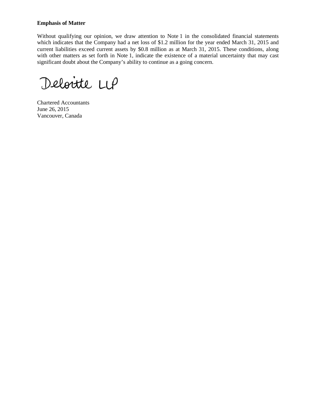### **Emphasis of Matter**

Without qualifying our opinion, we draw attention to Note 1 in the consolidated financial statements which indicates that the Company had a net loss of \$1.2 million for the year ended March 31, 2015 and current liabilities exceed current assets by \$0.8 million as at March 31, 2015. These conditions, along with other matters as set forth in Note 1, indicate the existence of a material uncertainty that may cast significant doubt about the Company's ability to continue as a going concern.

Deloitte LUP

Chartered Accountants June 26, 2015 Vancouver, Canada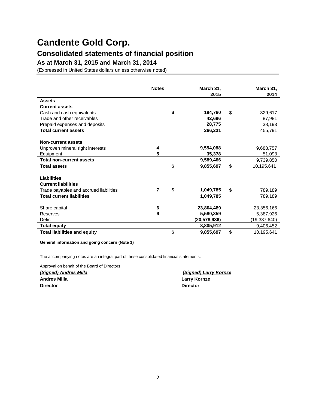# **Consolidated statements of financial position**

**As at March 31, 2015 and March 31, 2014**

(Expressed in United States dollars unless otherwise noted)

|                                        | <b>Notes</b> | March 31,<br>2015 | March 31,<br>2014 |
|----------------------------------------|--------------|-------------------|-------------------|
| <b>Assets</b>                          |              |                   |                   |
| <b>Current assets</b>                  |              |                   |                   |
| Cash and cash equivalents              |              | \$<br>194,760     | \$<br>329,617     |
| Trade and other receivables            |              | 42,696            | 87,981            |
| Prepaid expenses and deposits          |              | 28,775            | 38,193            |
| <b>Total current assets</b>            |              | 266,231           | 455,791           |
|                                        |              |                   |                   |
| Non-current assets                     |              |                   |                   |
| Unproven mineral right interests       | 4            | 9,554,088         | 9,688,757         |
| Equipment                              | 5            | 35,378            | 51,093            |
| <b>Total non-current assets</b>        |              | 9,589,466         | 9,739,850         |
| <b>Total assets</b>                    |              | \$<br>9,855,697   | \$<br>10,195,641  |
|                                        |              |                   |                   |
| <b>Liabilities</b>                     |              |                   |                   |
| <b>Current liabilities</b>             |              |                   |                   |
| Trade payables and accrued liabilities | 7            | \$<br>1,049,785   | \$<br>789,189     |
| <b>Total current liabilities</b>       |              | 1,049,785         | 789,189           |
|                                        |              |                   |                   |
| Share capital                          | 6            | 23,804,489        | 23,356,166        |
| Reserves                               | 6            | 5,580,359         | 5,387,926         |
| Deficit                                |              | (20,578,936)      | (19, 337, 640)    |
| <b>Total equity</b>                    |              | 8,805,912         | 9,406,452         |
| <b>Total liabilities and equity</b>    |              | \$<br>9,855,697   | \$<br>10,195,641  |

**General information and going concern (Note 1)**

The accompanying notes are an integral part of these consolidated financial statements.

Approval on behalf of the Board of Directors

*(Signed) Andres Milla (Signed) Larry Kornze* **Andres Milla Larry Kornze Director Director**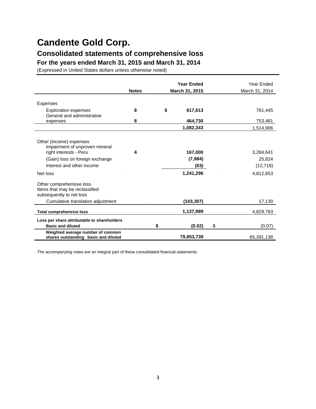# **Consolidated statements of comprehensive loss**

**For the years ended March 31, 2015 and March 31, 2014**

(Expressed in United States dollars unless otherwise noted)

|                                                                                        |              | <b>Year Ended</b> |                |    | Year Ended     |
|----------------------------------------------------------------------------------------|--------------|-------------------|----------------|----|----------------|
|                                                                                        | <b>Notes</b> |                   | March 31, 2015 |    | March 31, 2014 |
| <b>Expenses</b>                                                                        |              |                   |                |    |                |
| <b>Exploration expenses</b><br>General and administrative                              | 8            | \$                | 617,613        |    | 761,445        |
| expenses                                                                               | 8            |                   | 464,730        |    | 753,461        |
|                                                                                        |              |                   | 1,082,343      |    | 1,514,906      |
| Other (income) expenses<br>Impairment of unproven mineral                              |              |                   |                |    |                |
| right interests - Peru                                                                 | 4            |                   | 167,000        |    | 3,284,641      |
| (Gain) loss on foreign exchange                                                        |              |                   | (7,984)        |    | 25,824         |
| Interest and other income                                                              |              |                   | (63)           |    | (12, 718)      |
| Net loss                                                                               |              |                   | 1,241,296      |    | 4,812,653      |
| Other comprehensive loss<br>Items that may be reclassified<br>subsequently to net loss |              |                   |                |    |                |
| Cumulative translation adjustment                                                      |              |                   | (103, 307)     |    | 17,130         |
| <b>Total comprehensive loss</b>                                                        |              |                   | 1,137,989      |    | 4,829,783      |
| Loss per share attributable to shareholders                                            |              |                   |                |    |                |
| <b>Basic and diluted</b>                                                               |              | \$                | (0.02)         | \$ | (0.07)         |
| Weighted average number of common<br>shares outstanding: basic and diluted             |              |                   | 79,853,739     |    | 65,391,138     |

The accompanying notes are an integral part of these consolidated financial statements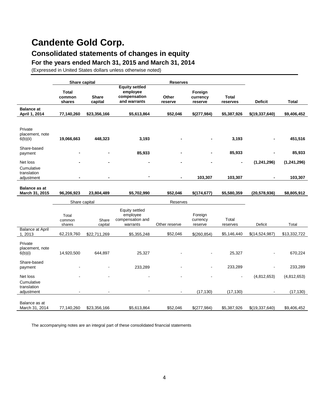# **Consolidated statements of changes in equity**

**For the years ended March 31, 2015 and March 31, 2014**

(Expressed in United States dollars unless otherwise noted)

|                                        | Share capital                    |                         |                                                                   | <b>Reserves</b>  |                                |                          |                  |               |
|----------------------------------------|----------------------------------|-------------------------|-------------------------------------------------------------------|------------------|--------------------------------|--------------------------|------------------|---------------|
|                                        | <b>Total</b><br>common<br>shares | <b>Share</b><br>capital | <b>Equity settled</b><br>employee<br>compensation<br>and warrants | Other<br>reserve | Foreign<br>currency<br>reserve | <b>Total</b><br>reserves | <b>Deficit</b>   | <b>Total</b>  |
| <b>Balance</b> at<br>April 1, 2014     | 77,140,260                       | \$23,356,166            | \$5,613,864                                                       | \$52,046         | \$(277,984)                    | \$5,387,926              | \$(19, 337, 640) | \$9,406,452   |
| Private<br>placement, note<br>6(b)(ii) | 19,066,663                       | 448,323                 | 3,193                                                             |                  |                                | 3,193                    |                  | 451,516       |
| Share-based<br>payment                 |                                  |                         | 85,933                                                            |                  |                                | 85,933                   |                  | 85,933        |
| Net loss<br>Cumulative                 |                                  |                         |                                                                   |                  |                                |                          | (1,241,296)      | (1, 241, 296) |
| translation<br>adjustment              |                                  |                         |                                                                   |                  | 103,307                        | 103,307                  |                  | 103,307       |
| <b>Balance as at</b><br>March 31, 2015 | 96,206,923                       | 23,804,489              | \$5,702,990                                                       | \$52,046         | \$(174, 677)                   | \$5,580,359              | (20, 578, 936)   | \$8,805,912   |
|                                        | Share capital                    |                         |                                                                   | Reserves         |                                |                          |                  |               |
|                                        | Total<br>common<br>shares        | Share<br>capital        | Equity settled<br>employee<br>compensation and<br>warrants        | Other reserve    | Foreign<br>currency<br>reserve | Total<br>reserves        | Deficit          | Total         |
| <b>Balance at April</b><br>1,2013      | 62,219,760                       | \$22,711,269            | \$5,355,248                                                       | \$52,046         | \$(260, 854)                   | \$5,146,440              | \$(14,524,987)   | \$13,332,722  |
| Private<br>placement, note<br>6(b)(i)  | 14,920,500                       | 644,897                 | 25,327                                                            |                  |                                | 25,327                   |                  | 670,224       |
| Share-based<br>payment                 |                                  |                         | 233,289                                                           |                  |                                | 233,289                  |                  | 233,289       |
| Net loss<br>Cumulative                 |                                  |                         |                                                                   |                  |                                |                          | (4,812,653)      | (4,812,653)   |
| translation<br>adjustment              |                                  |                         |                                                                   |                  | (17, 130)                      | (17, 130)                |                  | (17, 130)     |
| Balance as at<br>March 31, 2014        | 77,140,260                       | \$23,356,166            | \$5,613,864                                                       | \$52,046         | \$(277,984)                    | \$5,387,926              | \$(19,337,640)   | \$9,406,452   |

The accompanying notes are an integral part of these consolidated financial statements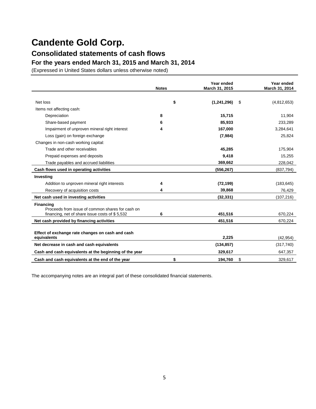## **Consolidated statements of cash flows**

**For the years ended March 31, 2015 and March 31, 2014**

(Expressed in United States dollars unless otherwise noted)

|                                                        | <b>Notes</b> | Year ended<br>March 31, 2015 |    | Year ended<br>March 31, 2014 |
|--------------------------------------------------------|--------------|------------------------------|----|------------------------------|
| Net loss                                               | \$           | (1,241,296)                  | S  | (4,812,653)                  |
| Items not affecting cash:                              |              |                              |    |                              |
| Depreciation                                           | 8            | 15.715                       |    | 11,904                       |
| Share-based payment                                    | 6            | 85,933                       |    | 233,289                      |
| Impairment of unproven mineral right interest          | 4            | 167,000                      |    | 3,284,641                    |
|                                                        |              | (7,984)                      |    |                              |
| Loss (gain) on foreign exchange                        |              |                              |    | 25,824                       |
| Changes in non-cash working capital:                   |              |                              |    |                              |
| Trade and other receivables                            |              | 45,285                       |    | 175,904                      |
| Prepaid expenses and deposits                          |              | 9,418                        |    | 15,255                       |
| Trade payables and accrued liabilities                 |              | 369,662                      |    | 228,042                      |
| Cash flows used in operating activities                |              | (556, 267)                   |    | (837, 794)                   |
| Investing                                              |              |                              |    |                              |
| Addition to unproven mineral right interests           | 4            | (72, 199)                    |    | (183, 645)                   |
| Recovery of acquisition costs                          | 4            | 39,868                       |    | 76,429                       |
| Net cash used in investing activities                  |              | (32, 331)                    |    | (107, 216)                   |
| <b>Financing</b>                                       |              |                              |    |                              |
| Proceeds from issue of common shares for cash on       |              |                              |    |                              |
| financing, net of share issue costs of $$5,532$        | 6            | 451,516                      |    | 670.224                      |
| Net cash provided by financing activities              |              | 451,516                      |    | 670,224                      |
| Effect of exchange rate changes on cash and cash       |              |                              |    |                              |
| equivalents                                            |              | 2,225                        |    | (42, 954)                    |
| Net decrease in cash and cash equivalents              |              | (134, 857)                   |    | (317, 740)                   |
| Cash and cash equivalents at the beginning of the year |              | 329,617                      |    | 647,357                      |
| Cash and cash equivalents at the end of the year       | \$           | 194,760                      | \$ | 329,617                      |

The accompanying notes are an integral part of these consolidated financial statements.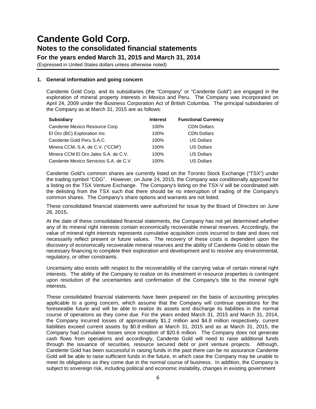**For the years ended March 31, 2015 and March 31, 2014**

(Expressed in United States dollars unless otherwise noted)

### **1. General information and going concern**

Candente Gold Corp. and its subsidiaries (the "Company" or "Candente Gold") are engaged in the exploration of mineral property interests in Mexico and Peru. The Company was incorporated on April 24, 2009 under the Business Corporation Act of British Columbia. The principal subsidiaries of the Company as at March 31, 2015 are as follows:

| <b>Subsidiary</b>                     | <b>Interest</b> | <b>Functional Currency</b> |
|---------------------------------------|-----------------|----------------------------|
| Candente Mexico Resource Corp.        | 100%            | <b>CDN Dollars</b>         |
| El Oro (BC) Exploration Inc.          | 100%            | <b>CDN Dollars</b>         |
| Candente Gold Peru S.A.C.             | 100%            | <b>US Dollars</b>          |
| Minera CCM, S.A. de C.V. ("CCM")      | 100%            | <b>US Dollars</b>          |
| Minera CCM El Oro Jales S.A. de C.V.  | 100%            | <b>US Dollars</b>          |
| Candente Mexico Servicios S.A. de C.V | 100%            | <b>US Dollars</b>          |

Candente Gold's common shares are currently listed on the Toronto Stock Exchange ("TSX") under the trading symbol "CDG". However, on June 24, 2015, the Company was conditionally approved for a listing on the TSX Venture Exchange. The Company's listing on the TSX-V will be coordinated with the delisting from the TSX such that there should be no interruption of trading of the Company's common shares. The Company's share options and warrants are not listed.

These consolidated financial statements were authorized for issue by the Board of Directors on June 26, 2015**.**

At the date of these consolidated financial statements, the Company has not yet determined whether any of its mineral right interests contain economically recoverable mineral reserves. Accordingly, the value of mineral right interests represents cumulative acquisition costs incurred to date and does not necessarily reflect present or future values. The recovery of these costs is dependent upon the discovery of economically recoverable mineral reserves and the ability of Candente Gold to obtain the necessary financing to complete their exploration and development and to resolve any environmental, regulatory, or other constraints.

Uncertainty also exists with respect to the recoverability of the carrying value of certain mineral right interests. The ability of the Company to realize on its investment in resource properties is contingent upon resolution of the uncertainties and confirmation of the Company's title to the mineral right interests.

These consolidated financial statements have been prepared on the basis of accounting principles applicable to a going concern, which assume that the Company will continue operations for the foreseeable future and will be able to realize its assets and discharge its liabilities in the normal course of operations as they come due. For the years ended March 31, 2015 and March 31, 2014, the Company incurred losses of approximately \$1.2 million and \$4.8 million respectively, current liabilities exceed current assets by \$0.8 million at March 31, 2015 and as at March 31, 2015, the Company had cumulative losses since inception of \$20.6 million. The Company does not generate cash flows from operations and accordingly, Candente Gold will need to raise additional funds through the issuance of securities, resource secured debt or joint venture projects. Although, Candente Gold has been successful in raising funds in the past there can be no assurance Candente Gold will be able to raise sufficient funds in the future, in which case the Company may be unable to meet its obligations as they come due in the normal course of business. In addition, the Company is subject to sovereign risk, including political and economic instability, changes in existing government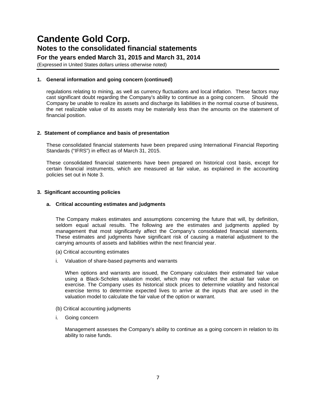## **For the years ended March 31, 2015 and March 31, 2014**

(Expressed in United States dollars unless otherwise noted)

### **1. General information and going concern (continued)**

regulations relating to mining, as well as currency fluctuations and local inflation. These factors may cast significant doubt regarding the Company's ability to continue as a going concern. Should the Company be unable to realize its assets and discharge its liabilities in the normal course of business, the net realizable value of its assets may be materially less than the amounts on the statement of financial position.

### **2. Statement of compliance and basis of presentation**

These consolidated financial statements have been prepared using International Financial Reporting Standards ("IFRS") in effect as of March 31, 2015.

These consolidated financial statements have been prepared on historical cost basis, except for certain financial instruments, which are measured at fair value, as explained in the accounting policies set out in Note 3.

### **3. Significant accounting policies**

### **a. Critical accounting estimates and judgments**

The Company makes estimates and assumptions concerning the future that will, by definition, seldom equal actual results. The following are the estimates and judgments applied by management that most significantly affect the Company's consolidated financial statements. These estimates and judgments have significant risk of causing a material adjustment to the carrying amounts of assets and liabilities within the next financial year.

- (a) Critical accounting estimates
- i. Valuation of share-based payments and warrants

When options and warrants are issued, the Company calculates their estimated fair value using a Black-Scholes valuation model, which may not reflect the actual fair value on exercise. The Company uses its historical stock prices to determine volatility and historical exercise terms to determine expected lives to arrive at the inputs that are used in the valuation model to calculate the fair value of the option or warrant.

- (b) Critical accounting judgments
- i. Going concern

Management assesses the Company's ability to continue as a going concern in relation to its ability to raise funds.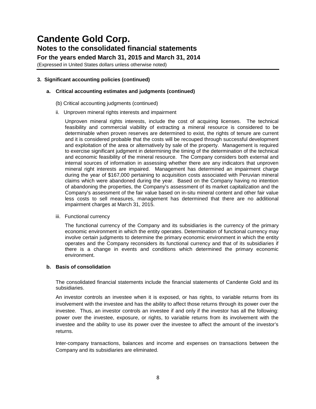**For the years ended March 31, 2015 and March 31, 2014**

(Expressed in United States dollars unless otherwise noted)

## **3. Significant accounting policies (continued)**

### **a. Critical accounting estimates and judgments (continued)**

- (b) Critical accounting judgments (continued)
- ii. Unproven mineral rights interests and impairment

Unproven mineral rights interests, include the cost of acquiring licenses. The technical feasibility and commercial viability of extracting a mineral resource is considered to be determinable when proven reserves are determined to exist, the rights of tenure are current and it is considered probable that the costs will be recouped through successful development and exploitation of the area or alternatively by sale of the property. Management is required to exercise significant judgment in determining the timing of the determination of the technical and economic feasibility of the mineral resource. The Company considers both external and internal sources of information in assessing whether there are any indicators that unproven mineral right interests are impaired. Management has determined an impairment charge during the year of \$167,000 pertaining to acquisition costs associated with Peruvian mineral claims which were abandoned during the year. Based on the Company having no intention of abandoning the properties, the Company's assessment of its market capitalization and the Company's assessment of the fair value based on in-situ mineral content and other fair value less costs to sell measures, management has determined that there are no additional impairment charges at March 31, 2015.

### iii. Functional currency

The functional currency of the Company and its subsidiaries is the currency of the primary economic environment in which the entity operates. Determination of functional currency may involve certain judgments to determine the primary economic environment in which the entity operates and the Company reconsiders its functional currency and that of its subsidiaries if there is a change in events and conditions which determined the primary economic environment.

### **b. Basis of consolidation**

The consolidated financial statements include the financial statements of Candente Gold and its subsidiaries.

An investor controls an investee when it is exposed, or has rights, to variable returns from its involvement with the investee and has the ability to affect those returns through its power over the investee. Thus, an investor controls an investee if and only if the investor has all the following: power over the investee, exposure, or rights, to variable returns from its involvement with the investee and the ability to use its power over the investee to affect the amount of the investor's returns.

Inter-company transactions, balances and income and expenses on transactions between the Company and its subsidiaries are eliminated.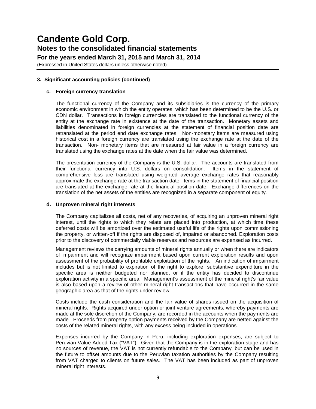**For the years ended March 31, 2015 and March 31, 2014**

(Expressed in United States dollars unless otherwise noted)

## **3. Significant accounting policies (continued)**

### **c. Foreign currency translation**

The functional currency of the Company and its subsidiaries is the currency of the primary economic environment in which the entity operates, which has been determined to be the U.S. or CDN dollar. Transactions in foreign currencies are translated to the functional currency of the entity at the exchange rate in existence at the date of the transaction. Monetary assets and liabilities denominated in foreign currencies at the statement of financial position date are retranslated at the period end date exchange rates. Non-monetary items are measured using historical cost in a foreign currency are translated using the exchange rate at the date of the transaction. Non- monetary items that are measured at fair value in a foreign currency are translated using the exchange rates at the date when the fair value was determined.

The presentation currency of the Company is the U.S. dollar. The accounts are translated from their functional currency into U.S. dollars on consolidation. Items in the statement of comprehensive loss are translated using weighted average exchange rates that reasonably approximate the exchange rate at the transaction date. Items in the statement of financial position are translated at the exchange rate at the financial position date. Exchange differences on the translation of the net assets of the entities are recognized in a separate component of equity.

### **d. Unproven mineral right interests**

The Company capitalizes all costs, net of any recoveries, of acquiring an unproven mineral right interest, until the rights to which they relate are placed into production, at which time these deferred costs will be amortized over the estimated useful life of the rights upon commissioning the property, or written-off if the rights are disposed of, impaired or abandoned. Exploration costs prior to the discovery of commercially viable reserves and resources are expensed as incurred.

Management reviews the carrying amounts of mineral rights annually or when there are indicators of impairment and will recognize impairment based upon current exploration results and upon assessment of the probability of profitable exploitation of the rights. An indication of impairment includes but is not limited to expiration of the right to explore, substantive expenditure in the specific area is neither budgeted nor planned, or if the entity has decided to discontinue exploration activity in a specific area. Management's assessment of the mineral right's fair value is also based upon a review of other mineral right transactions that have occurred in the same geographic area as that of the rights under review.

Costs include the cash consideration and the fair value of shares issued on the acquisition of mineral rights. Rights acquired under option or joint venture agreements, whereby payments are made at the sole discretion of the Company, are recorded in the accounts when the payments are made. Proceeds from property option payments received by the Company are netted against the costs of the related mineral rights, with any excess being included in operations.

Expenses incurred by the Company in Peru, including exploration expenses, are subject to Peruvian Value Added Tax ("VAT"). Given that the Company is in the exploration stage and has no sources of revenue, the VAT is not currently refundable to the Company, but can be used in the future to offset amounts due to the Peruvian taxation authorities by the Company resulting from VAT charged to clients on future sales. The VAT has been included as part of unproven mineral right interests.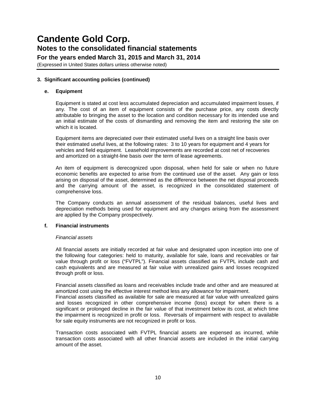(Expressed in United States dollars unless otherwise noted)

### **3. Significant accounting policies (continued)**

### **e. Equipment**

Equipment is stated at cost less accumulated depreciation and accumulated impairment losses, if any. The cost of an item of equipment consists of the purchase price, any costs directly attributable to bringing the asset to the location and condition necessary for its intended use and an initial estimate of the costs of dismantling and removing the item and restoring the site on which it is located.

Equipment items are depreciated over their estimated useful lives on a straight line basis over their estimated useful lives, at the following rates: 3 to 10 years for equipment and 4 years for vehicles and field equipment. Leasehold improvements are recorded at cost net of recoveries and amortized on a straight-line basis over the term of lease agreements.

An item of equipment is derecognized upon disposal, when held for sale or when no future economic benefits are expected to arise from the continued use of the asset. Any gain or loss arising on disposal of the asset, determined as the difference between the net disposal proceeds and the carrying amount of the asset, is recognized in the consolidated statement of comprehensive loss.

The Company conducts an annual assessment of the residual balances, useful lives and depreciation methods being used for equipment and any changes arising from the assessment are applied by the Company prospectively.

### **f. Financial instruments**

### *Financial assets*

All financial assets are initially recorded at fair value and designated upon inception into one of the following four categories: held to maturity, available for sale, loans and receivables or fair value through profit or loss ("FVTPL"). Financial assets classified as FVTPL include cash and cash equivalents and are measured at fair value with unrealized gains and losses recognized through profit or loss.

Financial assets classified as loans and receivables include trade and other and are measured at amortized cost using the effective interest method less any allowance for impairment.

Financial assets classified as available for sale are measured at fair value with unrealized gains and losses recognized in other comprehensive income (loss) except for when there is a significant or prolonged decline in the fair value of that investment below its cost, at which time the impairment is recognized in profit or loss. Reversals of impairment with respect to available for sale equity instruments are not recognized in profit or loss.

Transaction costs associated with FVTPL financial assets are expensed as incurred, while transaction costs associated with all other financial assets are included in the initial carrying amount of the asset.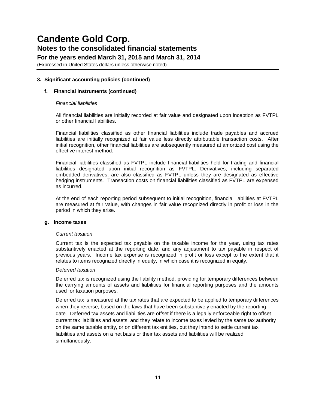**For the years ended March 31, 2015 and March 31, 2014**

(Expressed in United States dollars unless otherwise noted)

## **3. Significant accounting policies (continued)**

## **f. Financial instruments (continued)**

### *Financial liabilities*

All financial liabilities are initially recorded at fair value and designated upon inception as FVTPL or other financial liabilities.

Financial liabilities classified as other financial liabilities include trade payables and accrued liabilities are initially recognized at fair value less directly attributable transaction costs. After initial recognition, other financial liabilities are subsequently measured at amortized cost using the effective interest method.

Financial liabilities classified as FVTPL include financial liabilities held for trading and financial liabilities designated upon initial recognition as FVTPL. Derivatives, including separated embedded derivatives, are also classified as FVTPL unless they are designated as effective hedging instruments. Transaction costs on financial liabilities classified as FVTPL are expensed as incurred.

At the end of each reporting period subsequent to initial recognition, financial liabilities at FVTPL are measured at fair value, with changes in fair value recognized directly in profit or loss in the period in which they arise.

### **g. Income taxes**

### *Current taxation*

Current tax is the expected tax payable on the taxable income for the year, using tax rates substantively enacted at the reporting date, and any adjustment to tax payable in respect of previous years. Income tax expense is recognized in profit or loss except to the extent that it relates to items recognized directly in equity, in which case it is recognized in equity.

### *Deferred taxation*

Deferred tax is recognized using the liability method, providing for temporary differences between the carrying amounts of assets and liabilities for financial reporting purposes and the amounts used for taxation purposes.

Deferred tax is measured at the tax rates that are expected to be applied to temporary differences when they reverse, based on the laws that have been substantively enacted by the reporting date. Deferred tax assets and liabilities are offset if there is a legally enforceable right to offset current tax liabilities and assets, and they relate to income taxes levied by the same tax authority on the same taxable entity, or on different tax entities, but they intend to settle current tax liabilities and assets on a net basis or their tax assets and liabilities will be realized simultaneously.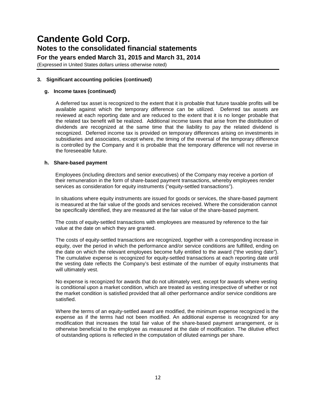**For the years ended March 31, 2015 and March 31, 2014**

(Expressed in United States dollars unless otherwise noted)

## **3. Significant accounting policies (continued)**

### **g. Income taxes (continued)**

A deferred tax asset is recognized to the extent that it is probable that future taxable profits will be available against which the temporary difference can be utilized. Deferred tax assets are reviewed at each reporting date and are reduced to the extent that it is no longer probable that the related tax benefit will be realized. Additional income taxes that arise from the distribution of dividends are recognized at the same time that the liability to pay the related dividend is recognized. Deferred income tax is provided on temporary differences arising on investments in subsidiaries and associates, except where, the timing of the reversal of the temporary difference is controlled by the Company and it is probable that the temporary difference will not reverse in the foreseeable future.

### **h. Share-based payment**

Employees (including directors and senior executives) of the Company may receive a portion of their remuneration in the form of share-based payment transactions, whereby employees render services as consideration for equity instruments ("equity-settled transactions").

In situations where equity instruments are issued for goods or services, the share-based payment is measured at the fair value of the goods and services received. Where the consideration cannot be specifically identified, they are measured at the fair value of the share-based payment.

The costs of equity-settled transactions with employees are measured by reference to the fair value at the date on which they are granted.

The costs of equity-settled transactions are recognized, together with a corresponding increase in equity, over the period in which the performance and/or service conditions are fulfilled, ending on the date on which the relevant employees become fully entitled to the award ("the vesting date"). The cumulative expense is recognized for equity-settled transactions at each reporting date until the vesting date reflects the Company's best estimate of the number of equity instruments that will ultimately vest.

No expense is recognized for awards that do not ultimately vest, except for awards where vesting is conditional upon a market condition, which are treated as vesting irrespective of whether or not the market condition is satisfied provided that all other performance and/or service conditions are satisfied.

Where the terms of an equity-settled award are modified, the minimum expense recognized is the expense as if the terms had not been modified. An additional expense is recognized for any modification that increases the total fair value of the share-based payment arrangement, or is otherwise beneficial to the employee as measured at the date of modification. The dilutive effect of outstanding options is reflected in the computation of diluted earnings per share.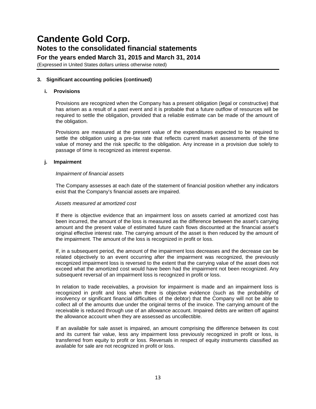(Expressed in United States dollars unless otherwise noted)

### **3. Significant accounting policies (continued)**

### **i. Provisions**

Provisions are recognized when the Company has a present obligation (legal or constructive) that has arisen as a result of a past event and it is probable that a future outflow of resources will be required to settle the obligation, provided that a reliable estimate can be made of the amount of the obligation.

Provisions are measured at the present value of the expenditures expected to be required to settle the obligation using a pre-tax rate that reflects current market assessments of the time value of money and the risk specific to the obligation. Any increase in a provision due solely to passage of time is recognized as interest expense.

#### **j. Impairment**

#### *Impairment of financial assets*

The Company assesses at each date of the statement of financial position whether any indicators exist that the Company's financial assets are impaired.

#### *Assets measured at amortized cost*

If there is objective evidence that an impairment loss on assets carried at amortized cost has been incurred, the amount of the loss is measured as the difference between the asset's carrying amount and the present value of estimated future cash flows discounted at the financial asset's original effective interest rate. The carrying amount of the asset is then reduced by the amount of the impairment. The amount of the loss is recognized in profit or loss.

If, in a subsequent period, the amount of the impairment loss decreases and the decrease can be related objectively to an event occurring after the impairment was recognized, the previously recognized impairment loss is reversed to the extent that the carrying value of the asset does not exceed what the amortized cost would have been had the impairment not been recognized. Any subsequent reversal of an impairment loss is recognized in profit or loss.

In relation to trade receivables, a provision for impairment is made and an impairment loss is recognized in profit and loss when there is objective evidence (such as the probability of insolvency or significant financial difficulties of the debtor) that the Company will not be able to collect all of the amounts due under the original terms of the invoice. The carrying amount of the receivable is reduced through use of an allowance account. Impaired debts are written off against the allowance account when they are assessed as uncollectible.

If an available for sale asset is impaired, an amount comprising the difference between its cost and its current fair value, less any impairment loss previously recognized in profit or loss, is transferred from equity to profit or loss. Reversals in respect of equity instruments classified as available for sale are not recognized in profit or loss.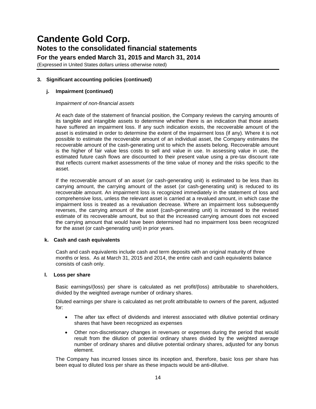(Expressed in United States dollars unless otherwise noted)

**3. Significant accounting policies (continued)**

## **j. Impairment (continued)**

### *Impairment of non-financial assets*

At each date of the statement of financial position, the Company reviews the carrying amounts of its tangible and intangible assets to determine whether there is an indication that those assets have suffered an impairment loss. If any such indication exists, the recoverable amount of the asset is estimated in order to determine the extent of the impairment loss (if any). Where it is not possible to estimate the recoverable amount of an individual asset, the Company estimates the recoverable amount of the cash-generating unit to which the assets belong. Recoverable amount is the higher of fair value less costs to sell and value in use. In assessing value in use, the estimated future cash flows are discounted to their present value using a pre-tax discount rate that reflects current market assessments of the time value of money and the risks specific to the asset.

If the recoverable amount of an asset (or cash-generating unit) is estimated to be less than its carrying amount, the carrying amount of the asset (or cash-generating unit) is reduced to its recoverable amount. An impairment loss is recognized immediately in the statement of loss and comprehensive loss, unless the relevant asset is carried at a revalued amount, in which case the impairment loss is treated as a revaluation decrease. Where an impairment loss subsequently reverses, the carrying amount of the asset (cash-generating unit) is increased to the revised estimate of its recoverable amount, but so that the increased carrying amount does not exceed the carrying amount that would have been determined had no impairment loss been recognized for the asset (or cash-generating unit) in prior years.

## **k. Cash and cash equivalents**

Cash and cash equivalents include cash and term deposits with an original maturity of three months or less. As at March 31, 2015 and 2014, the entire cash and cash equivalents balance consists of cash only.

### **l. Loss per share**

Basic earnings/(loss) per share is calculated as net profit/(loss) attributable to shareholders, divided by the weighted average number of ordinary shares.

Diluted earnings per share is calculated as net profit attributable to owners of the parent, adjusted for:

- The after tax effect of dividends and interest associated with dilutive potential ordinary shares that have been recognized as expenses
- Other non-discretionary changes in revenues or expenses during the period that would result from the dilution of potential ordinary shares divided by the weighted average number of ordinary shares and dilutive potential ordinary shares, adjusted for any bonus element.

The Company has incurred losses since its inception and, therefore, basic loss per share has been equal to diluted loss per share as these impacts would be anti-dilutive.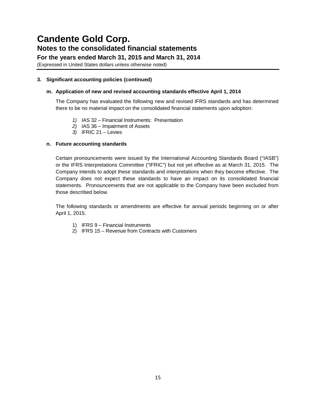**For the years ended March 31, 2015 and March 31, 2014**

(Expressed in United States dollars unless otherwise noted)

## **3. Significant accounting policies (continued)**

### **m. Application of new and revised accounting standards effective April 1, 2014**

The Company has evaluated the following new and revised IFRS standards and has determined there to be no material impact on the consolidated financial statements upon adoption:

- *1)* IAS 32 Financial Instruments: Presentation
- *2)* IAS 36 Impairment of Assets
- *3)* IFRIC 21 Levies

## **n. Future accounting standards**

Certain pronouncements were issued by the International Accounting Standards Board ("IASB") or the IFRS Interpretations Committee ("IFRIC") but not yet effective as at March 31, 2015. The Company intends to adopt these standards and interpretations when they become effective. The Company does not expect these standards to have an impact on its consolidated financial statements. Pronouncements that are not applicable to the Company have been excluded from those described below.

The following standards or amendments are effective for annual periods beginning on or after April 1, 2015.

- 1) IFRS 9 Financial Instruments
- 2) IFRS 15 Revenue from Contracts with Customers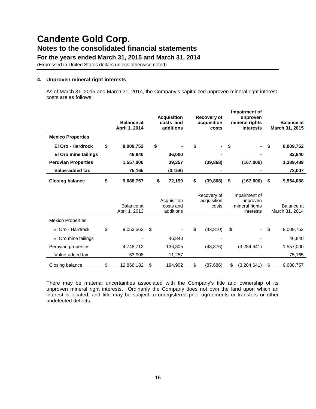(Expressed in United States dollars unless otherwise noted)

### **4. Unproven mineral right interests**

As of March 31, 2015 and March 31, 2014, the Company's capitalized unproven mineral right interest costs are as follows:

|                            | <b>Balance at</b><br>April 1, 2014 |    | <b>Acquisition</b><br>costs and<br>additions | Recovery of<br>acquisition<br>costs | Impairment of<br>unproven<br>mineral rights<br>interests | <b>Balance at</b><br>March 31, 2015 |
|----------------------------|------------------------------------|----|----------------------------------------------|-------------------------------------|----------------------------------------------------------|-------------------------------------|
| <b>Mexico Properties</b>   |                                    |    |                                              |                                     |                                                          |                                     |
| El Oro - Hardrock          | \$<br>8,009,752                    | \$ |                                              | \$                                  | \$                                                       | \$<br>8,009,752                     |
| El Oro mine tailings       | 46,840                             |    | 36,000                                       |                                     |                                                          | 82,840                              |
| <b>Peruvian Properties</b> | 1,557,000                          |    | 39,357                                       | (39, 868)                           | (167,000)                                                | 1,389,489                           |
| Value-added tax            | 75,165                             |    | (3, 158)                                     |                                     |                                                          | 72,007                              |
| <b>Closing balance</b>     | \$<br>9,688,757                    | \$ | 72,199                                       | \$<br>(39, 868)                     | \$<br>(167,000)                                          | \$<br>9,554,088                     |
|                            | <b>Balance</b> at<br>April 1, 2013 |    | Acquisition<br>costs and<br>additions        | Recovery of<br>acquisition<br>costs | Impairment of<br>unproven<br>mineral rights<br>interests | Balance at<br>March 31, 2014        |
| <b>Mexico Properties</b>   |                                    |    |                                              |                                     |                                                          |                                     |
| El Oro - Hardrock          | \$<br>8,053,562                    | \$ |                                              | \$<br>(43, 810)                     | \$                                                       | \$<br>8,009,752                     |
| El Oro mine tailings       |                                    |    | 46,840                                       |                                     |                                                          | 46,840                              |
| Peruvian properties        | 4,748,712                          |    | 136,805                                      | (43, 876)                           | (3,284,641)                                              | 1,557,000                           |
| Value-added tax            | 63,908                             |    | 11,257                                       |                                     |                                                          | 75,165                              |
| Closing balance            | \$<br>12,866,182                   | \$ | 194,902                                      | \$<br>(87, 686)                     | \$<br>(3,284,641)                                        | \$<br>9,688,757                     |

There may be material uncertainties associated with the Company's title and ownership of its unproven mineral right interests. Ordinarily the Company does not own the land upon which an interest is located, and title may be subject to unregistered prior agreements or transfers or other undetected defects.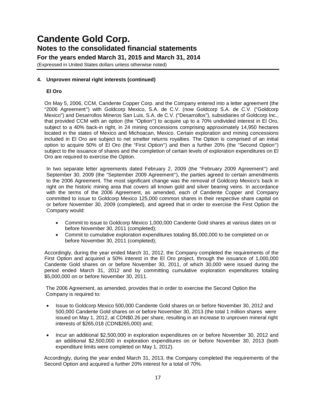(Expressed in United States dollars unless otherwise noted)

### **4. Unproven mineral right interests (continued)**

### **El Oro**

On May 5, 2006, CCM, Candente Copper Corp. and the Company entered into a letter agreement (the "2006 Agreement") with Goldcorp Mexico, S.A. de C.V. (now Goldcorp S.A. de C.V. ("Goldcorp Mexico") and Desarrollos Mineros San Luis, S.A. de C.V. ("Desarrollos"), subsidiaries of Goldcorp Inc., that provided CCM with an option (the "Option") to acquire up to a 70% undivided interest in El Oro, subject to a 40% back-in right, in 24 mining concessions comprising approximately 14,950 hectares located in the states of Mexico and Michoacan, Mexico. Certain exploration and mining concessions included in El Oro are subject to net smelter returns royalties. The Option is comprised of an initial option to acquire 50% of El Oro (the "First Option") and then a further 20% (the "Second Option") subject to the issuance of shares and the completion of certain levels of exploration expenditures on El Oro are required to exercise the Option.

In two separate letter agreements dated February 2, 2009 (the "February 2009 Agreement") and September 30, 2009 (the "September 2009 Agreement"), the parties agreed to certain amendments to the 2006 Agreement. The most significant change was the removal of Goldcorp Mexico's back in right on the historic mining area that covers all known gold and silver bearing veins. In accordance with the terms of the 2006 Agreement, as amended, each of Candente Copper and Company committed to issue to Goldcorp Mexico 125,000 common shares in their respective share capital on or before November 30, 2009 (completed), and agreed that in order to exercise the First Option the Company would:

- Commit to issue to Goldcorp Mexico 1,000,000 Candente Gold shares at various dates on or before November 30, 2011 (completed);
- Commit to cumulative exploration expenditures totaling \$5,000,000 to be completed on or before November 30, 2011 (completed);

Accordingly, during the year ended March 31, 2012, the Company completed the requirements of the First Option and acquired a 50% interest in the El Oro project, through the issuance of 1,000,000 Candente Gold shares on or before November 30, 2011, of which 30,000 were issued during the period ended March 31, 2012 and by committing cumulative exploration expenditures totaling \$5,000,000 on or before November 30, 2011.

The 2006 Agreement, as amended, provides that in order to exercise the Second Option the Company is required to:

- Issue to Goldcorp Mexico 500,000 Candente Gold shares on or before November 30, 2012 and 500,000 Candente Gold shares on or before November 30, 2013 (the total 1 million shares were issued on May 1, 2012, at CDN\$0.26 per share, resulting in an increase to unproven mineral right interests of \$265,018 (CDN\$265,000) and;
- Incur an additional \$2,500,000 in exploration expenditures on or before November 30, 2012 and an additional \$2,500,000 in exploration expenditures on or before November 30, 2013 (both expenditure limits were completed on May 1, 2012).

Accordingly, during the year ended March 31, 2013, the Company completed the requirements of the Second Option and acquired a further 20% interest for a total of 70%.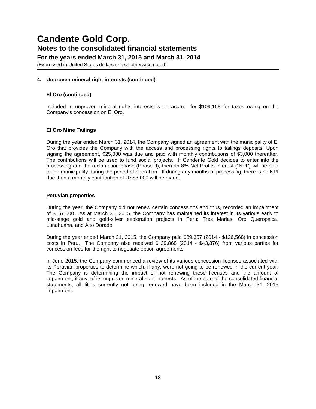(Expressed in United States dollars unless otherwise noted)

### **4. Unproven mineral right interests (continued)**

### **El Oro (continued)**

Included in unproven mineral rights interests is an accrual for \$109,168 for taxes owing on the Company's concession on El Oro.

### **El Oro Mine Tailings**

During the year ended March 31, 2014, the Company signed an agreement with the municipality of El Oro that provides the Company with the access and processing rights to tailings deposits. Upon signing the agreement, \$25,000 was due and paid with monthly contributions of \$3,000 thereafter. The contributions will be used to fund social projects. If Candente Gold decides to enter into the processing and the reclamation phase (Phase II), then an 8% Net Profits Interest ("NPI") will be paid to the municipality during the period of operation. If during any months of processing, there is no NPI due then a monthly contribution of US\$3,000 will be made.

### **Peruvian properties**

During the year, the Company did not renew certain concessions and thus, recorded an impairment of \$167,000. As at March 31, 2015, the Company has maintained its interest in its various early to mid-stage gold and gold-silver exploration projects in Peru: Tres Marias, Oro Queropalca, Lunahuana, and Alto Dorado.

During the year ended March 31, 2015, the Company paid \$39,357 (2014 - \$126,568) in concession costs in Peru. The Company also received \$ 39,868 (2014 - \$43,876) from various parties for concession fees for the right to negotiate option agreements.

In June 2015, the Company commenced a review of its various concession licenses associated with its Peruvian properties to determine which, if any, were not going to be renewed in the current year. The Company is determining the impact of not renewing these licenses and the amount of impairment, if any, of its unproven mineral right interests. As of the date of the consolidated financial statements, all titles currently not being renewed have been included in the March 31, 2015 impairment.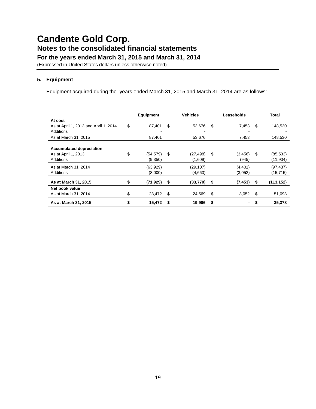(Expressed in United States dollars unless otherwise noted)

## **5. Equipment**

Equipment acquired during the years ended March 31, 2015 and March 31, 2014 are as follows:

|                                       | <b>Equipment</b> |     | <b>Vehicles</b> | Leaseholds     | Total            |
|---------------------------------------|------------------|-----|-----------------|----------------|------------------|
| At cost                               |                  |     |                 |                |                  |
| As at April 1, 2013 and April 1, 2014 | \$<br>87.401     | \$  | 53.676          | \$<br>7,453    | \$<br>148,530    |
| Additions                             |                  |     |                 |                |                  |
| As at March 31, 2015                  | 87,401           |     | 53,676          | 7,453          | 148,530          |
|                                       |                  |     |                 |                |                  |
| <b>Accumulated depreciation</b>       |                  |     |                 |                |                  |
| As at April 1, 2013                   | \$<br>(54, 579)  | -\$ | (27, 498)       | \$<br>(3, 456) | \$<br>(85, 533)  |
| Additions                             | (9,350)          |     | (1,609)         | (945)          | (11, 904)        |
| As at March 31, 2014                  | (63,929)         |     | (29, 107)       | (4, 401)       | (97, 437)        |
| Additions                             | (8,000)          |     | (4,663)         | (3,052)        | (15, 715)        |
|                                       |                  |     |                 |                |                  |
| As at March 31, 2015                  | \$<br>(71, 929)  | \$  | (33, 770)       | \$<br>(7, 453) | \$<br>(113, 152) |
| Net book value                        |                  |     |                 |                |                  |
| As at March 31, 2014                  | \$<br>23,472     | \$  | 24,569          | \$<br>3,052    | \$<br>51,093     |
| As at March 31, 2015                  | \$<br>15,472     | S   | 19,906          | \$             | 35,378           |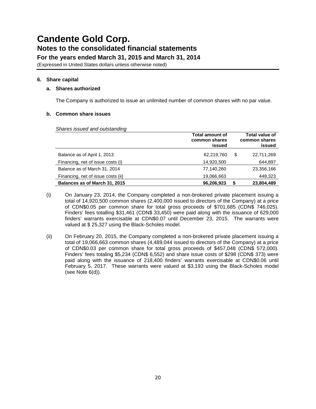(Expressed in United States dollars unless otherwise noted)

## **6. Share capital**

### **a. Shares authorized**

The Company is authorized to issue an unlimited number of common shares with no par value.

## **b. Common share issues**

*Shares issued and outstanding*

|                                    | <b>Total amount of</b><br>common shares<br>issued | <b>Total value of</b><br>common shares<br>issued |
|------------------------------------|---------------------------------------------------|--------------------------------------------------|
| Balance as of April 1, 2013        | 62,219,760                                        | \$<br>22,711,269                                 |
| Financing, net of issue costs (i)  | 14,920,500                                        | 644,897                                          |
| Balance as of March 31, 2014       | 77,140,260                                        | 23,356,166                                       |
| Financing, net of issue costs (ii) | 19,066,663                                        | 448,323                                          |
| Balances as of March 31, 2015      | 96,206,923                                        | 23,804,489                                       |

- (i) On January 23, 2014, the Company completed a non-brokered private placement issuing a total of 14,920,500 common shares (2,400,000 issued to directors of the Company) at a price of CDN\$0.05 per common share for total gross proceeds of \$701,685 (CDN\$ 746,025). Finders' fees totalling \$31,461 (CDN\$ 33,450) were paid along with the issuance of 629,000 finders' warrants exercisable at CDN\$0.07 until December 23, 2015. The warrants were valued at \$ 25,327 using the Black-Scholes model.
- (ii) On February 20, 2015, the Company completed a non-brokered private placement issuing a total of 19,066,663 common shares (4,489,044 issued to directors of the Company) at a price of CDN\$0.03 per common share for total gross proceeds of \$457,048 (CDN\$ 572,000). Finders' fees totaling \$5,234 (CDN\$ 6,552) and share issue costs of \$298 (CDN\$ 373) were paid along with the issuance of 218,400 finders' warrants exercisable at CDN\$0.06 until February 5, 2017. These warrants were valued at \$3,193 using the Black-Scholes model (see Note 6(d)).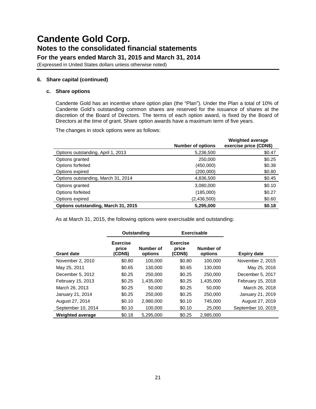(Expressed in United States dollars unless otherwise noted)

## **6. Share capital (continued)**

#### **c. Share options**

Candente Gold has an incentive share option plan (the "Plan"). Under the Plan a total of 10% of Candente Gold's outstanding common shares are reserved for the issuance of shares at the discretion of the Board of Directors. The terms of each option award, is fixed by the Board of Directors at the time of grant. Share option awards have a maximum term of five years.

The changes in stock options were as follows:

|                                     | <b>Number of options</b> | <b>Weighted average</b><br>exercise price (CDN\$) |
|-------------------------------------|--------------------------|---------------------------------------------------|
| Options outstanding, April 1, 2013  | 5,236,500                | \$0.47                                            |
| Options granted                     | 250,000                  | \$0.25                                            |
| Options forfeited                   | (450,000)                | \$0.38                                            |
| Options expired                     | (200,000)                | \$0.80                                            |
| Options outstanding, March 31, 2014 | 4,836,500                | \$0.45                                            |
| Options granted                     | 3,080,000                | \$0.10                                            |
| Options forfeited                   | (185,000)                | \$0.27                                            |
| Options expired                     | (2,436,500)              | \$0.60                                            |
| Options outstanding, March 31, 2015 | 5,295,000                | \$0.18                                            |

As at March 31, 2015, the following options were exercisable and outstanding:

|                         |                                     | <b>Exercisable</b><br>Outstanding |                                     |                      |                    |
|-------------------------|-------------------------------------|-----------------------------------|-------------------------------------|----------------------|--------------------|
| <b>Grant date</b>       | <b>Exercise</b><br>price<br>(CDN\$) | Number of<br>options              | <b>Exercise</b><br>price<br>(CDN\$) | Number of<br>options | Expiry date        |
| November 2, 2010        | \$0.80                              | 100.000                           | \$0.80                              | 100.000              | November 2, 2015   |
| May 25, 2011            | \$0.65                              | 130,000                           | \$0.65                              | 130,000              | May 25, 2016       |
| December 5, 2012        | \$0.25                              | 250,000                           | \$0.25                              | 250,000              | December 5, 2017   |
| February 15, 2013       | \$0.25                              | 1,435,000                         | \$0.25                              | 1,435,000            | February 15, 2018  |
| March 26, 2013          | \$0.25                              | 50,000                            | \$0.25                              | 50,000               | March 26, 2018     |
| January 21, 2014        | \$0.25                              | 250,000                           | \$0.25                              | 250,000              | January 21, 2019   |
| August 27, 2014         | \$0.10                              | 2.980.000                         | \$0.10                              | 745.000              | August 27, 2019    |
| September 10, 2014      | \$0.10                              | 100,000                           | \$0.10                              | 25,000               | September 10, 2019 |
| <b>Weighted average</b> | \$0.18                              | 5,295,000                         | \$0.25                              | 2,985,000            |                    |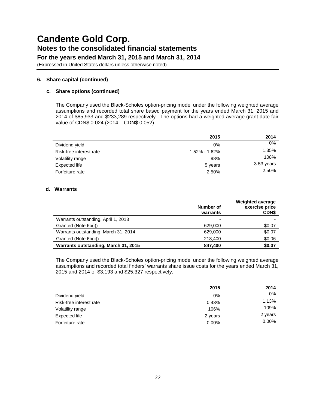(Expressed in United States dollars unless otherwise noted)

## **6. Share capital (continued)**

### **c. Share options (continued)**

The Company used the Black-Scholes option-pricing model under the following weighted average assumptions and recorded total share based payment for the years ended March 31, 2015 and 2014 of \$85,933 and \$233,289 respectively. The options had a weighted average grant date fair value of CDN\$ 0.024 (2014 – CDN\$ 0.052).

|                         | 2015          | 2014       |
|-------------------------|---------------|------------|
| Dividend yield          | $0\%$         | 0%         |
| Risk-free interest rate | 1.52% - 1.62% | 1.35%      |
| Volatility range        | 98%           | 108%       |
| Expected life           | 5 years       | 3.53 years |
| Forfeiture rate         | 2.50%         | 2.50%      |

### **d. Warrants**

|                                      | Number of<br>warrants | <b>Weighted average</b><br>exercise price<br><b>CDNS</b> |
|--------------------------------------|-----------------------|----------------------------------------------------------|
| Warrants outstanding, April 1, 2013  |                       |                                                          |
| Granted (Note 6b(i))                 | 629,000               | \$0.07                                                   |
| Warrants outstanding, March 31, 2014 | 629,000               | \$0.07                                                   |
| Granted (Note 6b(ii))                | 218,400               | \$0.06                                                   |
| Warrants outstanding, March 31, 2015 | 847.400               | \$0.07                                                   |

The Company used the Black-Scholes option-pricing model under the following weighted average assumptions and recorded total finders' warrants share issue costs for the years ended March 31, 2015 and 2014 of \$3,193 and \$25,327 respectively:

|                         | 2015     | 2014     |
|-------------------------|----------|----------|
| Dividend yield          | 0%       | 0%       |
| Risk-free interest rate | 0.43%    | 1.13%    |
| Volatility range        | 106%     | 109%     |
| Expected life           | 2 years  | 2 years  |
| Forfeiture rate         | $0.00\%$ | $0.00\%$ |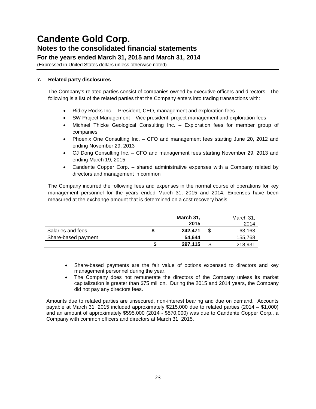(Expressed in United States dollars unless otherwise noted)

## **7. Related party disclosures**

The Company's related parties consist of companies owned by executive officers and directors. The following is a list of the related parties that the Company enters into trading transactions with:

- Ridley Rocks Inc. President, CEO, management and exploration fees
- SW Project Management Vice president, project management and exploration fees
- Michael Thicke Geological Consulting Inc. Exploration fees for member group of companies
- Phoenix One Consulting Inc. CFO and management fees starting June 20, 2012 and ending November 29, 2013
- CJ Dong Consulting Inc. CFO and management fees starting November 29, 2013 and ending March 19, 2015
- Candente Copper Corp. shared administrative expenses with a Company related by directors and management in common

The Company incurred the following fees and expenses in the normal course of operations for key management personnel for the years ended March 31, 2015 and 2014. Expenses have been measured at the exchange amount that is determined on a cost recovery basis.

|                     |   | March 31,<br>2015 | March 31,<br>2014 |
|---------------------|---|-------------------|-------------------|
| Salaries and fees   |   | 242.471           | 63,163            |
| Share-based payment |   | 54.644            | 155,768           |
|                     | S | 297,115           | 218,931           |

- Share-based payments are the fair value of options expensed to directors and key management personnel during the year.
- The Company does not remunerate the directors of the Company unless its market capitalization is greater than \$75 million. During the 2015 and 2014 years, the Company did not pay any directors fees.

Amounts due to related parties are unsecured, non-interest bearing and due on demand. Accounts payable at March 31, 2015 included approximately \$215,000 due to related parties (2014 – \$1,000) and an amount of approximately \$595,000 (2014 - \$570,000) was due to Candente Copper Corp., a Company with common officers and directors at March 31, 2015.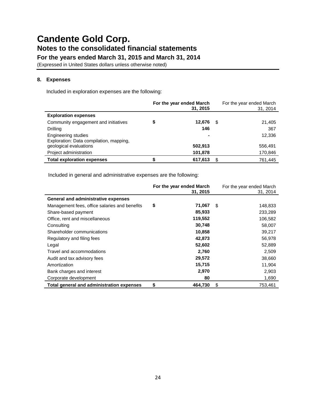(Expressed in United States dollars unless otherwise noted)

## **8. Expenses**

Included in exploration expenses are the following:

|                                                                       | For the year ended March<br>31, 2015 |      | For the year ended March<br>31, 2014 |
|-----------------------------------------------------------------------|--------------------------------------|------|--------------------------------------|
| <b>Exploration expenses</b>                                           |                                      |      |                                      |
| Community engagement and initiatives                                  | \$<br>12,676                         | - \$ | 21,405                               |
| Drilling                                                              | 146                                  |      | 367                                  |
| <b>Engineering studies</b><br>Exploration: Data compilation, mapping, | ۰                                    |      | 12,336                               |
| geological evaluations                                                | 502,913                              |      | 556,491                              |
| Project administration                                                | 101,878                              |      | 170,846                              |
| <b>Total exploration expenses</b>                                     | 617,613                              | \$.  | 761,445                              |

Included in general and administrative expenses are the following:

|                                               | For the year ended March<br>31, 2015 | For the year ended March<br>31, 2014 |
|-----------------------------------------------|--------------------------------------|--------------------------------------|
| <b>General and administrative expenses</b>    |                                      |                                      |
| Management fees, office salaries and benefits | \$<br>71,067                         | \$<br>148,833                        |
| Share-based payment                           | 85,933                               | 233,289                              |
| Office, rent and miscellaneous                | 119,552                              | 106,582                              |
| Consulting                                    | 30,748                               | 58,007                               |
| Shareholder communications                    | 10,858                               | 39,217                               |
| Regulatory and filing fees                    | 42,873                               | 56,978                               |
| Legal                                         | 52,602                               | 52,889                               |
| Travel and accommodations                     | 2,760                                | 2,509                                |
| Audit and tax advisory fees                   | 29,572                               | 38,660                               |
| Amortization                                  | 15,715                               | 11,904                               |
| Bank charges and interest                     | 2,970                                | 2,903                                |
| Corporate development                         | 80                                   | 1,690                                |
| Total general and administration expenses     | \$<br>464.730                        | \$<br>753.461                        |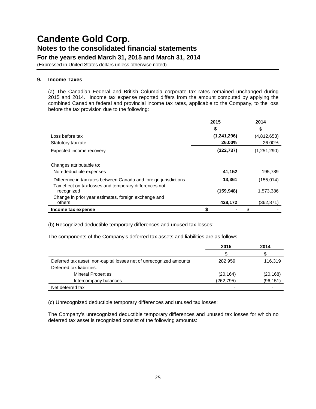(Expressed in United States dollars unless otherwise noted)

### **9. Income Taxes**

(a) The Canadian Federal and British Columbia corporate tax rates remained unchanged during 2015 and 2014. Income tax expense reported differs from the amount computed by applying the combined Canadian federal and provincial income tax rates, applicable to the Company, to the loss before the tax provision due to the following:

|                                                                      | 2015        | 2014        |
|----------------------------------------------------------------------|-------------|-------------|
|                                                                      | S           | \$          |
| Loss before tax                                                      | (1,241,296) | (4,812,653) |
| Statutory tax rate                                                   | 26.00%      | 26.00%      |
| Expected income recovery                                             | (322, 737)  | (1,251,290) |
| Changes attributable to:                                             |             |             |
| Non-deductible expenses                                              | 41,152      | 195,789     |
| Difference in tax rates between Canada and foreign jurisdictions     | 13,361      | (155,014)   |
| Tax effect on tax losses and temporary differences not<br>recognized | (159, 948)  | 1,573,386   |
| Change in prior year estimates, foreign exchange and<br>others       | 428,172     | (362,871)   |
| Income tax expense                                                   |             | \$          |

(b) Recognized deductible temporary differences and unused tax losses:

The components of the Company's deferred tax assets and liabilities are as follows:

|                                                                    | 2015       | 2014      |
|--------------------------------------------------------------------|------------|-----------|
|                                                                    | S          |           |
| Deferred tax asset: non-capital losses net of unrecognized amounts | 282.959    | 116,319   |
| Deferred tax liabilities:                                          |            |           |
| <b>Mineral Properties</b>                                          | (20, 164)  | (20, 168) |
| Intercompany balances                                              | (262, 795) | (96, 151) |
| Net deferred tax                                                   |            |           |

(c) Unrecognized deductible temporary differences and unused tax losses:

The Company's unrecognized deductible temporary differences and unused tax losses for which no deferred tax asset is recognized consist of the following amounts: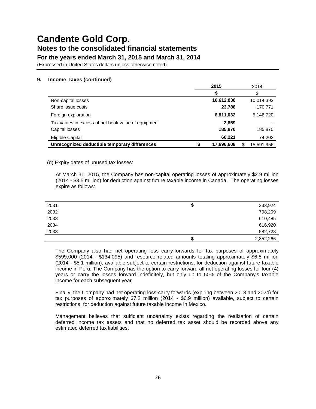**For the years ended March 31, 2015 and March 31, 2014**

(Expressed in United States dollars unless otherwise noted)

## **9. Income Taxes (continued)**

|                                                     | 2015       | 2014             |
|-----------------------------------------------------|------------|------------------|
|                                                     |            | S                |
| Non-capital losses                                  | 10,612,838 | 10,014,393       |
| Share issue costs                                   | 23,788     | 170,771          |
| Foreign exploration                                 | 6,811,032  | 5,146,720        |
| Tax values in excess of net book value of equipment | 2,859      |                  |
| Capital losses                                      | 185,870    | 185,870          |
| Eligible Capital                                    | 60,221     | 74,202           |
| Unrecognized deductible temporary differences       | 17,696,608 | \$<br>15,591,956 |

### (d) Expiry dates of unused tax losses:

At March 31, 2015, the Company has non-capital operating losses of approximately \$2.9 million (2014 - \$3.5 million) for deduction against future taxable income in Canada. The operating losses expire as follows:

| 2031 | จ  | 333,924   |
|------|----|-----------|
| 2032 |    | 708,209   |
| 2033 |    | 610,485   |
| 2034 |    | 616,920   |
| 2033 |    | 582,728   |
|      | ۰D | 2,852,266 |

The Company also had net operating loss carry-forwards for tax purposes of approximately \$599,000 (2014 - \$134,095) and resource related amounts totaling approximately \$6.8 million (2014 - \$5.1 million), available subject to certain restrictions, for deduction against future taxable income in Peru. The Company has the option to carry forward all net operating losses for four (4) years or carry the losses forward indefinitely, but only up to 50% of the Company's taxable income for each subsequent year.

Finally, the Company had net operating loss-carry forwards (expiring between 2018 and 2024) for tax purposes of approximately \$7.2 million (2014 - \$6.9 million) available, subject to certain restrictions, for deduction against future taxable income in Mexico.

Management believes that sufficient uncertainty exists regarding the realization of certain deferred income tax assets and that no deferred tax asset should be recorded above any estimated deferred tax liabilities.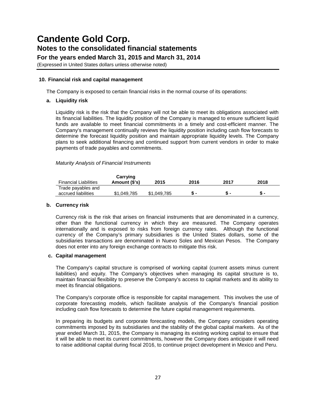**For the years ended March 31, 2015 and March 31, 2014**

(Expressed in United States dollars unless otherwise noted)

### **10. Financial risk and capital management**

The Company is exposed to certain financial risks in the normal course of its operations:

### **a. Liquidity risk**

Liquidity risk is the risk that the Company will not be able to meet its obligations associated with its financial liabilities. The liquidity position of the Company is managed to ensure sufficient liquid funds are available to meet financial commitments in a timely and cost-efficient manner. The Company's management continually reviews the liquidity position including cash flow forecasts to determine the forecast liquidity position and maintain appropriate liquidity levels. The Company plans to seek additional financing and continued support from current vendors in order to make payments of trade payables and commitments.

### *Maturity Analysis of Financial Instruments*

| <b>Financial Liabilities</b>              | Carrying<br>Amount (\$'s) | 2015        | 2016 | 2017 | 2018         |
|-------------------------------------------|---------------------------|-------------|------|------|--------------|
| Trade payables and<br>accrued liabilities | \$1,049,785               | \$1,049,785 |      |      | $\mathbf{r}$ |

### **b. Currency risk**

Currency risk is the risk that arises on financial instruments that are denominated in a currency, other than the functional currency in which they are measured. The Company operates internationally and is exposed to risks from foreign currency rates. Although the functional currency of the Company's primary subsidiaries is the United States dollars, some of the subsidiaries transactions are denominated in Nuevo Soles and Mexican Pesos. The Company does not enter into any foreign exchange contracts to mitigate this risk.

### **c. Capital management**

The Company's capital structure is comprised of working capital (current assets minus current liabilities) and equity. The Company's objectives when managing its capital structure is to, maintain financial flexibility to preserve the Company's access to capital markets and its ability to meet its financial obligations.

The Company's corporate office is responsible for capital management. This involves the use of corporate forecasting models, which facilitate analysis of the Company's financial position including cash flow forecasts to determine the future capital management requirements.

In preparing its budgets and corporate forecasting models, the Company considers operating commitments imposed by its subsidiaries and the stability of the global capital markets. As of the year ended March 31, 2015, the Company is managing its existing working capital to ensure that it will be able to meet its current commitments, however the Company does anticipate it will need to raise additional capital during fiscal 2016, to continue project development in Mexico and Peru.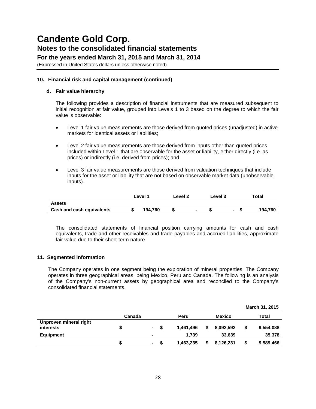**For the years ended March 31, 2015 and March 31, 2014**

(Expressed in United States dollars unless otherwise noted)

## **10. Financial risk and capital management (continued)**

### **d. Fair value hierarchy**

The following provides a description of financial instruments that are measured subsequent to initial recognition at fair value, grouped into Levels 1 to 3 based on the degree to which the fair value is observable:

- Level 1 fair value measurements are those derived from quoted prices (unadjusted) in active markets for identical assets or liabilities;
- Level 2 fair value measurements are those derived from inputs other than quoted prices included within Level 1 that are observable for the asset or liability, either directly (i.e. as prices) or indirectly (i.e. derived from prices); and
- Level 3 fair value measurements are those derived from valuation techniques that include inputs for the asset or liability that are not based on observable market data (unobservable inputs).

|                                  | Level 1 | Level 2<br>Level 3 |  | Total |  |         |
|----------------------------------|---------|--------------------|--|-------|--|---------|
| <b>Assets</b>                    |         |                    |  |       |  |         |
| <b>Cash and cash equivalents</b> | 194.760 |                    |  |       |  | 194.760 |

The consolidated statements of financial position carrying amounts for cash and cash equivalents, trade and other receivables and trade payables and accrued liabilities, approximate fair value due to their short-term nature.

### **11. Segmented information**

The Company operates in one segment being the exploration of mineral properties. The Company operates in three geographical areas, being Mexico, Peru and Canada. The following is an analysis of the Company's non-current assets by geographical area and reconciled to the Company's consolidated financial statements.

|                                            |                |        |      |           |               |           |   | March 31, 2015 |
|--------------------------------------------|----------------|--------|------|-----------|---------------|-----------|---|----------------|
|                                            | Canada<br>Peru |        |      |           | <b>Mexico</b> | Total     |   |                |
| Unproven mineral right<br><i>interests</i> | S              | $\sim$ | - \$ | 1,461,496 | S             | 8,092,592 | S | 9,554,088      |
| <b>Equipment</b>                           |                |        |      | 1.739     |               | 33,639    |   | 35,378         |
|                                            |                | ж.     |      | 1,463,235 |               | 8,126,231 |   | 9,589,466      |